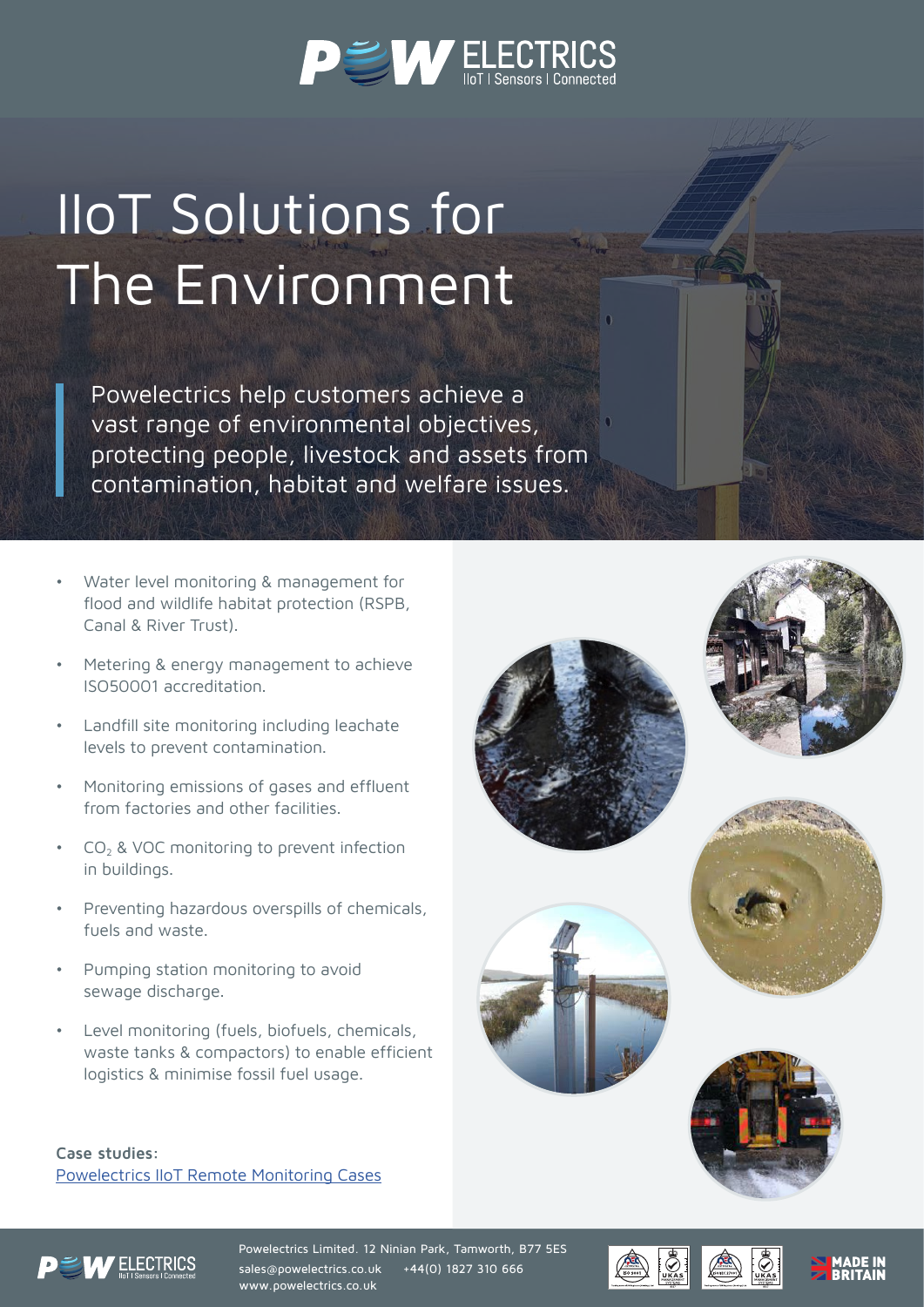

## IIoT Solutions for The Environment

Powelectrics help customers achieve a vast range of environmental objectives, protecting people, livestock and assets from contamination, habitat and welfare issues.

- Water level monitoring & management for flood and wildlife habitat protection (RSPB, Canal & River Trust).
- Metering & energy management to achieve ISO50001 accreditation.
- Landfill site monitoring including leachate levels to prevent contamination.
- Monitoring emissions of gases and effluent from factories and other facilities.
- $CO<sub>2</sub>$  & VOC monitoring to prevent infection in buildings.
- Preventing hazardous overspills of chemicals, fuels and waste.
- Pumping station monitoring to avoid sewage discharge.
- Level monitoring (fuels, biofuels, chemicals, waste tanks & compactors) to enable efficient logistics & minimise fossil fuel usage.

**Case studies:**  Powelectrics IIoT Remote Monitoring Cases













Powelectrics Limited. 12 Ninian Park, Tamworth, B77 5ES sales@powelectrics.co.uk +44(0) 1827 310 666 www.powelectrics.co.uk